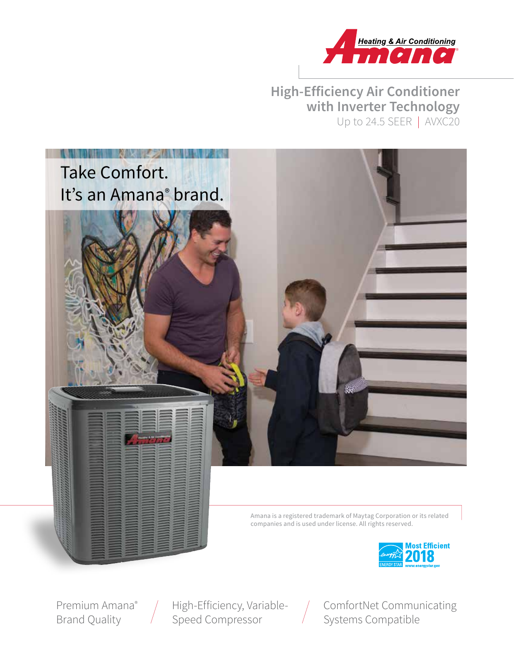

# **High-Efficiency Air Conditioner with Inverter Technology** Up to 24.5 SEER | AVXC20



Premium Amana® Brand Quality

High-Efficiency, Variable-Speed Compressor

 $\bigg)$ 

ComfortNet Communicating Systems Compatible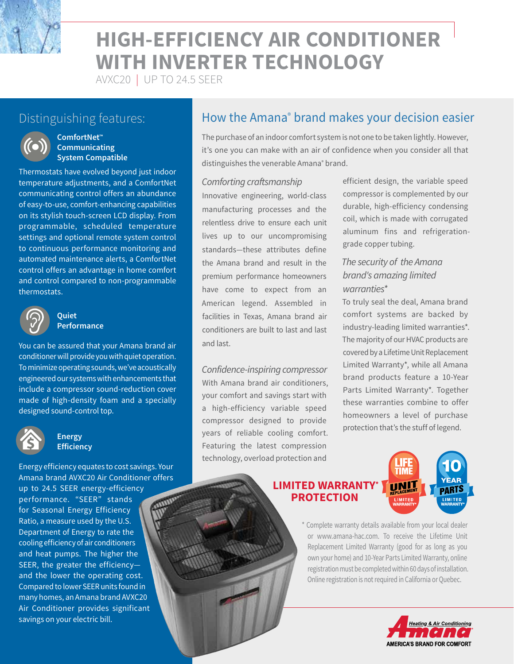

# **HIGH-EFFICIENCY AIR CONDITIONER WITH INVERTER TECHNOLOGY**

AVXC20 | UP TO 24.5 SEER



#### **ComfortNet™ Communicating System Compatible**

Thermostats have evolved beyond just indoor temperature adjustments, and a ComfortNet communicating control offers an abundance of easy-to-use, comfort-enhancing capabilities on its stylish touch-screen LCD display. From programmable, scheduled temperature settings and optional remote system control to continuous performance monitoring and automated maintenance alerts, a ComfortNet control offers an advantage in home comfort and control compared to non-programmable thermostats.



#### **Quiet Performance**

You can be assured that your Amana brand air conditioner will provide you with quiet operation. To minimize operating sounds, we've acoustically engineered our systems with enhancements that include a compressor sound-reduction cover made of high-density foam and a specially designed sound-control top.



#### **Energy Efficiency**

Energy efficiency equates to cost savings. Your Amana brand AVXC20 Air Conditioner offers up to 24.5 SEER energy-efficiency performance. "SEER" stands for Seasonal Energy Efficiency Ratio, a measure used by the U.S. Department of Energy to rate the cooling efficiency of air conditioners and heat pumps. The higher the SEER, the greater the efficiency and the lower the operating cost. Compared to lower SEER units found in many homes, an Amana brand AVXC20 Air Conditioner provides significant savings on your electric bill.

# Distinguishing features: **he actumely How the Amana<sup>®</sup> brand makes your decision easier**

The purchase of an indoor comfort system is not one to be taken lightly. However, it's one you can make with an air of confidence when you consider all that distinguishes the venerable Amana<sup>®</sup> brand.

#### *Comforting craftsmanship*

Innovative engineering, world-class manufacturing processes and the relentless drive to ensure each unit lives up to our uncompromising standards—these attributes define the Amana brand and result in the premium performance homeowners have come to expect from an American legend. Assembled in facilities in Texas, Amana brand air conditioners are built to last and last and last.

*Confidence-inspiring compressor* With Amana brand air conditioners, your comfort and savings start with a high-efficiency variable speed compressor designed to provide years of reliable cooling comfort. Featuring the latest compression technology, overload protection and

efficient design, the variable speed compressor is complemented by our durable, high-efficiency condensing coil, which is made with corrugated aluminum fins and refrigerationgrade copper tubing.

### *The security of the Amana brand's amazing limited warranties\**

To truly seal the deal, Amana brand comfort systems are backed by industry-leading limited warranties\*. The majority of our HVAC products are covered by a Lifetime Unit Replacement Limited Warranty\*, while all Amana brand products feature a 10-Year Parts Limited Warranty\*. Together these warranties combine to offer homeowners a level of purchase protection that's the stuff of legend.

#### **LIMITED WARRANTY\* PROTECTION**



\* Complete warranty details available from your local dealer or www.amana-hac.com. To receive the Lifetime Unit Replacement Limited Warranty (good for as long as you own your home) and 10-Year Parts Limited Warranty, online registration must be completed within 60 days of installation. Online registration is not required in California or Quebec.

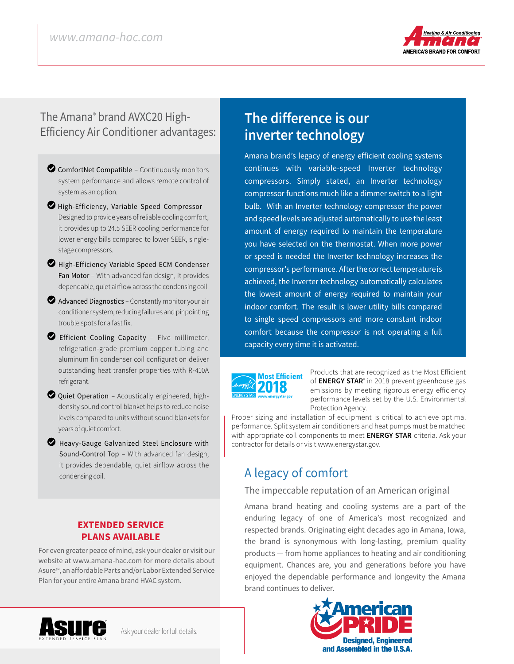

# The Amana® brand AVXC20 High-Efficiency Air Conditioner advantages:

- $\bullet$  ComfortNet Compatible Continuously monitors system performance and allows remote control of system as an option.
- $\bullet$  High-Efficiency, Variable Speed Compressor -Designed to provide years of reliable cooling comfort, it provides up to 24.5 SEER cooling performance for lower energy bills compared to lower SEER, singlestage compressors.
- High-Efficiency Variable Speed ECM Condenser Fan Motor – With advanced fan design, it provides dependable, quiet airflow across the condensing coil.
- $\bullet$  Advanced Diagnostics Constantly monitor your air conditioner system, reducing failures and pinpointing trouble spots for a fast fix.
- LEfficient Cooling Capacity Five millimeter, refrigeration-grade premium copper tubing and aluminum fin condenser coil configuration deliver outstanding heat transfer properties with R-410A refrigerant.
- $\bullet$  Quiet Operation Acoustically engineered, highdensity sound control blanket helps to reduce noise levels compared to units without sound blankets for years of quiet comfort.
- **2** Heavy-Gauge Galvanized Steel Enclosure with Sound-Control Top – With advanced fan design, it provides dependable, quiet airflow across the condensing coil.

#### **EXTENDED SERVICE PLANS AVAILABLE**

For even greater peace of mind, ask your dealer or visit our website at www.amana-hac.com for more details about Asure℠, an affordable Parts and/or Labor Extended Service Plan for your entire Amana brand HVAC system.

# **The difference is our inverter technology**

Amana brand's legacy of energy efficient cooling systems continues with variable-speed Inverter technology compressors. Simply stated, an Inverter technology compressor functions much like a dimmer switch to a light bulb. With an Inverter technology compressor the power and speed levels are adjusted automatically to use the least amount of energy required to maintain the temperature you have selected on the thermostat. When more power or speed is needed the Inverter technology increases the compressor's performance. After the correct temperature is achieved, the Inverter technology automatically calculates the lowest amount of energy required to maintain your indoor comfort. The result is lower utility bills compared to single speed compressors and more constant indoor comfort because the compressor is not operating a full capacity every time it is activated.



Products that are recognized as the Most Efficient of **ENERGY STAR**® in 2018 prevent greenhouse gas emissions by meeting rigorous energy efficiency performance levels set by the U.S. Environmental Protection Agency.

Proper sizing and installation of equipment is critical to achieve optimal performance. Split system air conditioners and heat pumps must be matched with appropriate coil components to meet **ENERGY STAR** criteria. Ask your contractor for details or visit www.energystar.gov.

# A legacy of comfort

#### The impeccable reputation of an American original

Amana brand heating and cooling systems are a part of the enduring legacy of one of America's most recognized and respected brands. Originating eight decades ago in Amana, Iowa, the brand is synonymous with long-lasting, premium quality products — from home appliances to heating and air conditioning equipment. Chances are, you and generations before you have enjoyed the dependable performance and longevity the Amana brand continues to deliver.